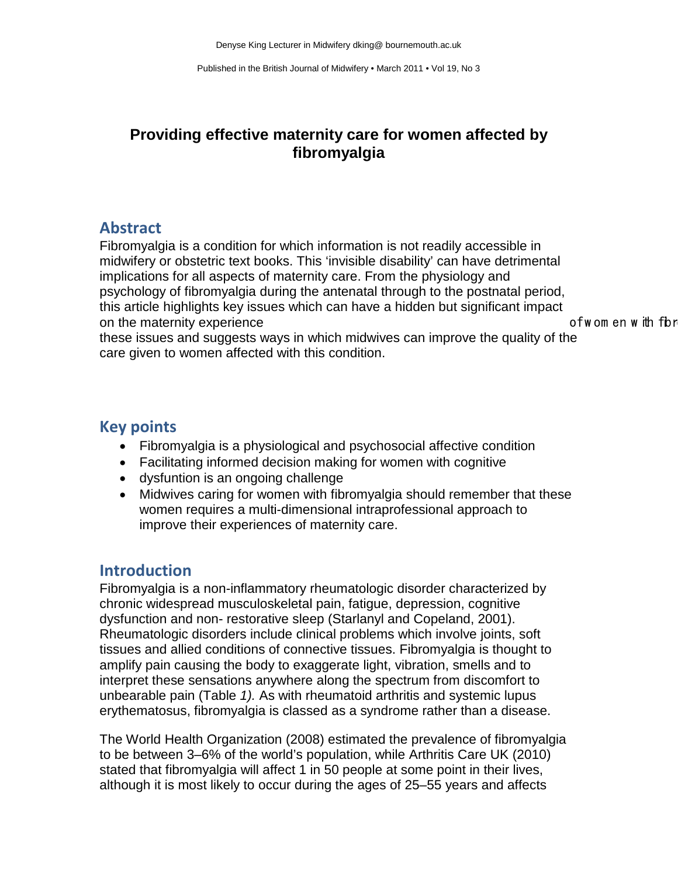# **Providing effective maternity care for women affected by fibromyalgia**

## **Abstract**

Fibromyalgia is a condition for which information is not readily accessible in midwifery or obstetric text books. This 'invisible disability' can have detrimental implications for all aspects of maternity care. From the physiology and psychology of fibromyalgia during the antenatal through to the postnatal period, this article highlights key issues which can have a hidden but significant impact on the maternity experience **of w** of w om en w ith fbr

these issues and suggests ways in which midwives can improve the quality of the care given to women affected with this condition.

# **Key points**

- Fibromyalgia is a physiological and psychosocial affective condition
- Facilitating informed decision making for women with cognitive
- dysfuntion is an ongoing challenge
- Midwives caring for women with fibromyalgia should remember that these women requires a multi-dimensional intraprofessional approach to improve their experiences of maternity care.

# **Introduction**

Fibromyalgia is a non-inflammatory rheumatologic disorder characterized by chronic widespread musculoskeletal pain, fatigue, depression, cognitive dysfunction and non- restorative sleep (Starlanyl and Copeland, 2001). Rheumatologic disorders include clinical problems which involve joints, soft tissues and allied conditions of connective tissues. Fibromyalgia is thought to amplify pain causing the body to exaggerate light, vibration, smells and to interpret these sensations anywhere along the spectrum from discomfort to unbearable pain (Table *1).* As with rheumatoid arthritis and systemic lupus erythematosus, fibromyalgia is classed as a syndrome rather than a disease.

The World Health Organization (2008) estimated the prevalence of fibromyalgia to be between 3–6% of the world's population, while Arthritis Care UK (2010) stated that fibromyalgia will affect 1 in 50 people at some point in their lives, although it is most likely to occur during the ages of 25–55 years and affects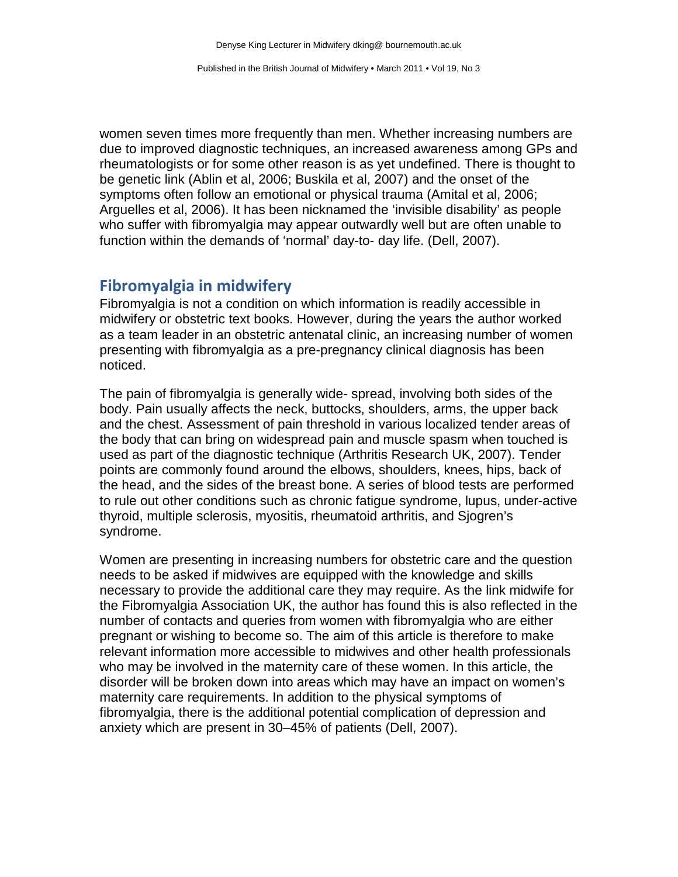women seven times more frequently than men. Whether increasing numbers are due to improved diagnostic techniques, an increased awareness among GPs and rheumatologists or for some other reason is as yet undefined. There is thought to be genetic link (Ablin et al, 2006; Buskila et al, 2007) and the onset of the symptoms often follow an emotional or physical trauma (Amital et al, 2006; Arguelles et al, 2006). It has been nicknamed the 'invisible disability' as people who suffer with fibromyalgia may appear outwardly well but are often unable to function within the demands of 'normal' day-to- day life. (Dell, 2007).

#### **Fibromyalgia in midwifery**

Fibromyalgia is not a condition on which information is readily accessible in midwifery or obstetric text books. However, during the years the author worked as a team leader in an obstetric antenatal clinic, an increasing number of women presenting with fibromyalgia as a pre-pregnancy clinical diagnosis has been noticed.

The pain of fibromyalgia is generally wide- spread, involving both sides of the body. Pain usually affects the neck, buttocks, shoulders, arms, the upper back and the chest. Assessment of pain threshold in various localized tender areas of the body that can bring on widespread pain and muscle spasm when touched is used as part of the diagnostic technique (Arthritis Research UK, 2007). Tender points are commonly found around the elbows, shoulders, knees, hips, back of the head, and the sides of the breast bone. A series of blood tests are performed to rule out other conditions such as chronic fatigue syndrome, lupus, under-active thyroid, multiple sclerosis, myositis, rheumatoid arthritis, and Sjogren's syndrome.

Women are presenting in increasing numbers for obstetric care and the question needs to be asked if midwives are equipped with the knowledge and skills necessary to provide the additional care they may require. As the link midwife for the Fibromyalgia Association UK, the author has found this is also reflected in the number of contacts and queries from women with fibromyalgia who are either pregnant or wishing to become so. The aim of this article is therefore to make relevant information more accessible to midwives and other health professionals who may be involved in the maternity care of these women. In this article, the disorder will be broken down into areas which may have an impact on women's maternity care requirements. In addition to the physical symptoms of fibromyalgia, there is the additional potential complication of depression and anxiety which are present in 30–45% of patients (Dell, 2007).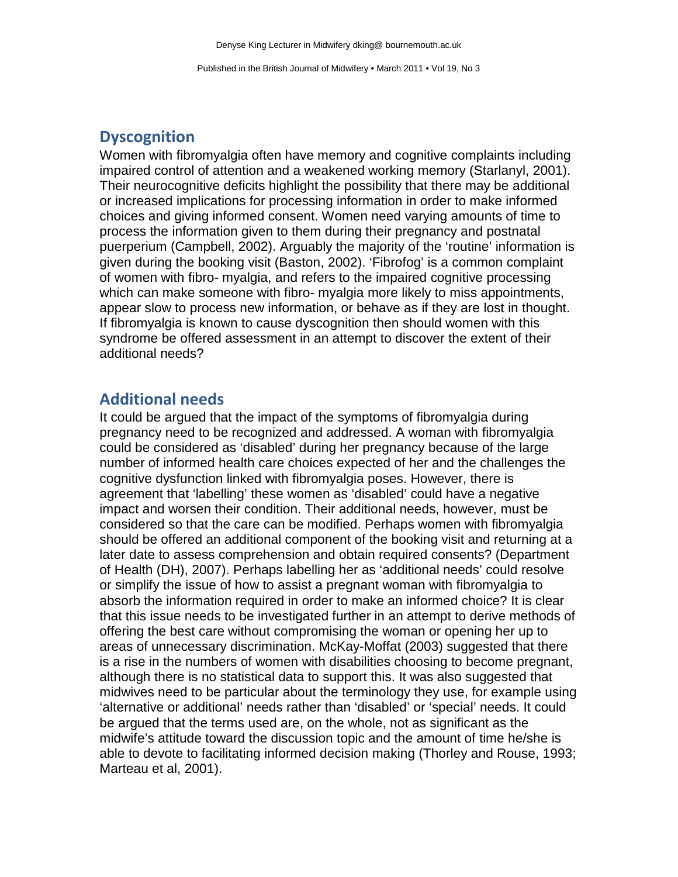# **Dyscognition**

Women with fibromyalgia often have memory and cognitive complaints including impaired control of attention and a weakened working memory (Starlanyl, 2001). Their neurocognitive deficits highlight the possibility that there may be additional or increased implications for processing information in order to make informed choices and giving informed consent. Women need varying amounts of time to process the information given to them during their pregnancy and postnatal puerperium (Campbell, 2002). Arguably the majority of the 'routine' information is given during the booking visit (Baston, 2002). 'Fibrofog' is a common complaint of women with fibro- myalgia, and refers to the impaired cognitive processing which can make someone with fibro- myalgia more likely to miss appointments, appear slow to process new information, or behave as if they are lost in thought. If fibromyalgia is known to cause dyscognition then should women with this syndrome be offered assessment in an attempt to discover the extent of their additional needs?

# **Additional needs**

It could be argued that the impact of the symptoms of fibromyalgia during pregnancy need to be recognized and addressed. A woman with fibromyalgia could be considered as 'disabled' during her pregnancy because of the large number of informed health care choices expected of her and the challenges the cognitive dysfunction linked with fibromyalgia poses. However, there is agreement that 'labelling' these women as 'disabled' could have a negative impact and worsen their condition. Their additional needs, however, must be considered so that the care can be modified. Perhaps women with fibromyalgia should be offered an additional component of the booking visit and returning at a later date to assess comprehension and obtain required consents? (Department of Health (DH), 2007). Perhaps labelling her as 'additional needs' could resolve or simplify the issue of how to assist a pregnant woman with fibromyalgia to absorb the information required in order to make an informed choice? It is clear that this issue needs to be investigated further in an attempt to derive methods of offering the best care without compromising the woman or opening her up to areas of unnecessary discrimination. McKay-Moffat (2003) suggested that there is a rise in the numbers of women with disabilities choosing to become pregnant, although there is no statistical data to support this. It was also suggested that midwives need to be particular about the terminology they use, for example using 'alternative or additional' needs rather than 'disabled' or 'special' needs. It could be argued that the terms used are, on the whole, not as significant as the midwife's attitude toward the discussion topic and the amount of time he/she is able to devote to facilitating informed decision making (Thorley and Rouse, 1993; Marteau et al, 2001).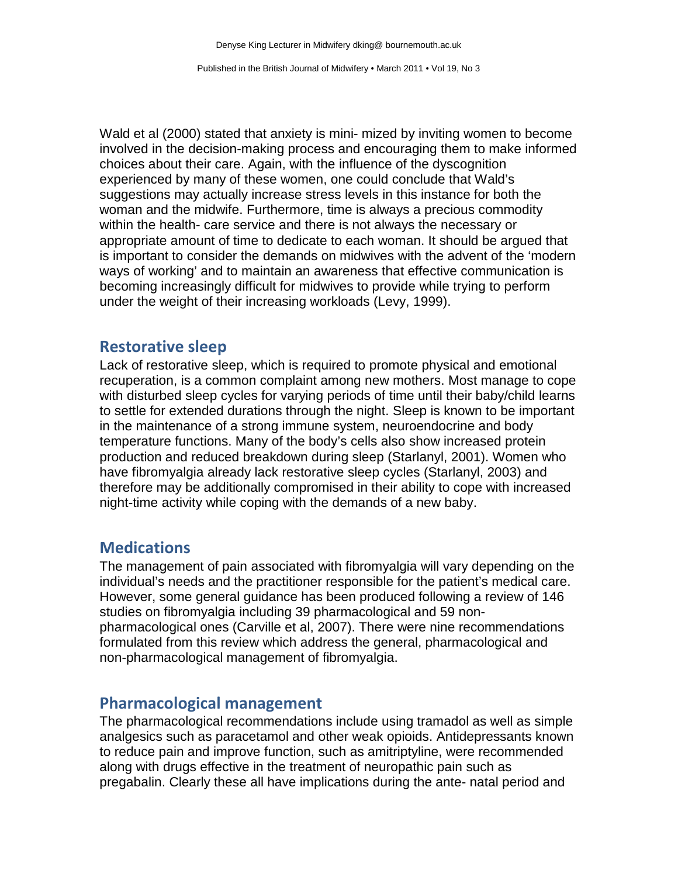Wald et al (2000) stated that anxiety is mini- mized by inviting women to become involved in the decision-making process and encouraging them to make informed choices about their care. Again, with the influence of the dyscognition experienced by many of these women, one could conclude that Wald's suggestions may actually increase stress levels in this instance for both the woman and the midwife. Furthermore, time is always a precious commodity within the health- care service and there is not always the necessary or appropriate amount of time to dedicate to each woman. It should be argued that is important to consider the demands on midwives with the advent of the 'modern ways of working' and to maintain an awareness that effective communication is becoming increasingly difficult for midwives to provide while trying to perform under the weight of their increasing workloads (Levy, 1999).

#### **Restorative sleep**

Lack of restorative sleep, which is required to promote physical and emotional recuperation, is a common complaint among new mothers. Most manage to cope with disturbed sleep cycles for varying periods of time until their baby/child learns to settle for extended durations through the night. Sleep is known to be important in the maintenance of a strong immune system, neuroendocrine and body temperature functions. Many of the body's cells also show increased protein production and reduced breakdown during sleep (Starlanyl, 2001). Women who have fibromyalgia already lack restorative sleep cycles (Starlanyl, 2003) and therefore may be additionally compromised in their ability to cope with increased night-time activity while coping with the demands of a new baby.

## **Medications**

The management of pain associated with fibromyalgia will vary depending on the individual's needs and the practitioner responsible for the patient's medical care. However, some general guidance has been produced following a review of 146 studies on fibromyalgia including 39 pharmacological and 59 nonpharmacological ones (Carville et al, 2007). There were nine recommendations formulated from this review which address the general, pharmacological and non-pharmacological management of fibromyalgia.

#### **Pharmacological management**

The pharmacological recommendations include using tramadol as well as simple analgesics such as paracetamol and other weak opioids. Antidepressants known to reduce pain and improve function, such as amitriptyline, were recommended along with drugs effective in the treatment of neuropathic pain such as pregabalin. Clearly these all have implications during the ante- natal period and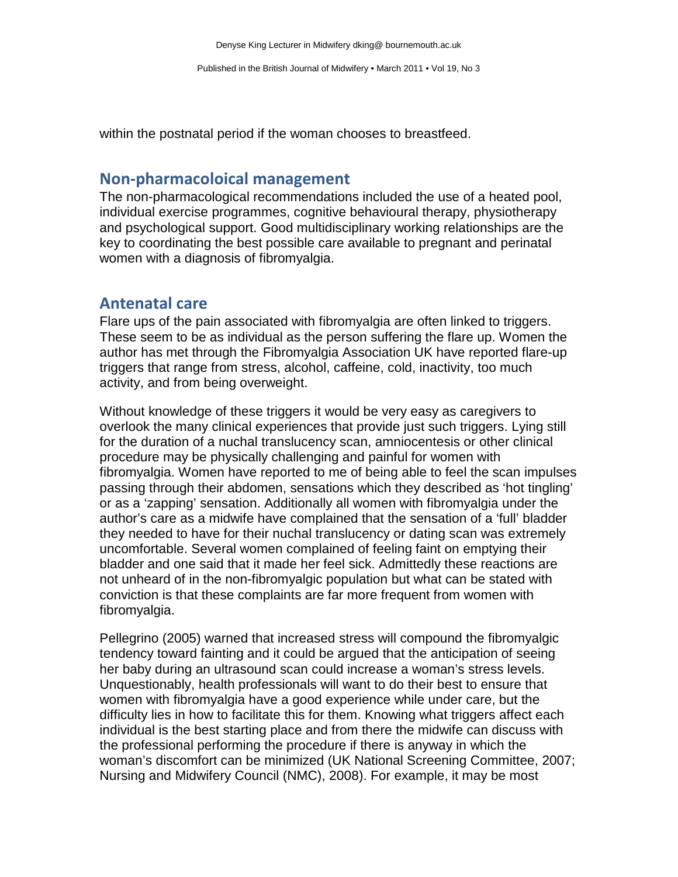within the postnatal period if the woman chooses to breastfeed.

#### **Non-pharmacoloical management**

The non-pharmacological recommendations included the use of a heated pool, individual exercise programmes, cognitive behavioural therapy, physiotherapy and psychological support. Good multidisciplinary working relationships are the key to coordinating the best possible care available to pregnant and perinatal women with a diagnosis of fibromyalgia.

## **Antenatal care**

Flare ups of the pain associated with fibromyalgia are often linked to triggers. These seem to be as individual as the person suffering the flare up. Women the author has met through the Fibromyalgia Association UK have reported flare-up triggers that range from stress, alcohol, caffeine, cold, inactivity, too much activity, and from being overweight.

Without knowledge of these triggers it would be very easy as caregivers to overlook the many clinical experiences that provide just such triggers. Lying still for the duration of a nuchal translucency scan, amniocentesis or other clinical procedure may be physically challenging and painful for women with fibromyalgia. Women have reported to me of being able to feel the scan impulses passing through their abdomen, sensations which they described as 'hot tingling' or as a 'zapping' sensation. Additionally all women with fibromyalgia under the author's care as a midwife have complained that the sensation of a 'full' bladder they needed to have for their nuchal translucency or dating scan was extremely uncomfortable. Several women complained of feeling faint on emptying their bladder and one said that it made her feel sick. Admittedly these reactions are not unheard of in the non-fibromyalgic population but what can be stated with conviction is that these complaints are far more frequent from women with fibromyalgia.

Pellegrino (2005) warned that increased stress will compound the fibromyalgic tendency toward fainting and it could be argued that the anticipation of seeing her baby during an ultrasound scan could increase a woman's stress levels. Unquestionably, health professionals will want to do their best to ensure that women with fibromyalgia have a good experience while under care, but the difficulty lies in how to facilitate this for them. Knowing what triggers affect each individual is the best starting place and from there the midwife can discuss with the professional performing the procedure if there is anyway in which the woman's discomfort can be minimized (UK National Screening Committee, 2007; Nursing and Midwifery Council (NMC), 2008). For example, it may be most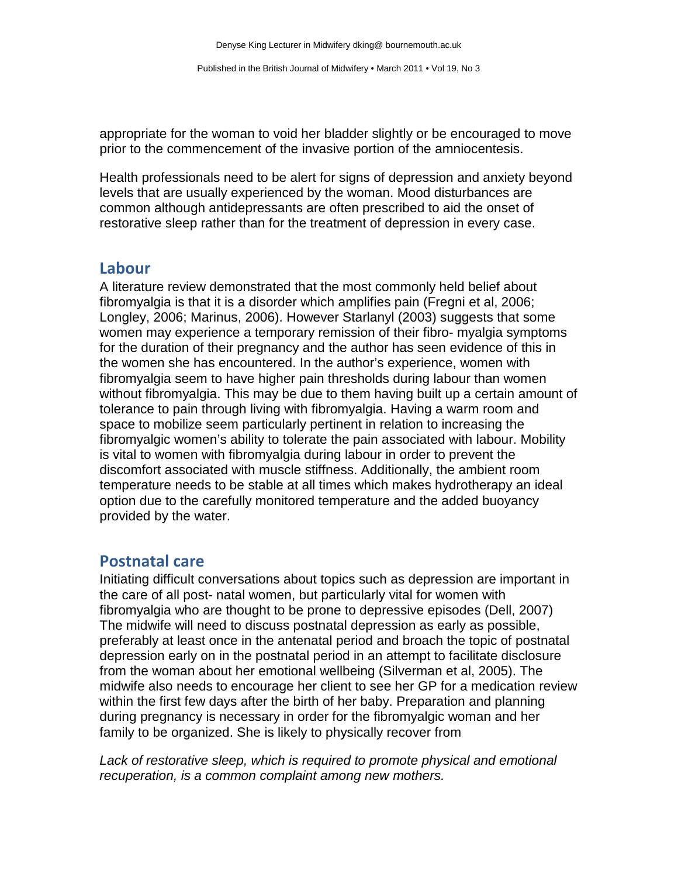appropriate for the woman to void her bladder slightly or be encouraged to move prior to the commencement of the invasive portion of the amniocentesis.

Health professionals need to be alert for signs of depression and anxiety beyond levels that are usually experienced by the woman. Mood disturbances are common although antidepressants are often prescribed to aid the onset of restorative sleep rather than for the treatment of depression in every case.

#### **Labour**

A literature review demonstrated that the most commonly held belief about fibromyalgia is that it is a disorder which amplifies pain (Fregni et al, 2006; Longley, 2006; Marinus, 2006). However Starlanyl (2003) suggests that some women may experience a temporary remission of their fibro- myalgia symptoms for the duration of their pregnancy and the author has seen evidence of this in the women she has encountered. In the author's experience, women with fibromyalgia seem to have higher pain thresholds during labour than women without fibromyalgia. This may be due to them having built up a certain amount of tolerance to pain through living with fibromyalgia. Having a warm room and space to mobilize seem particularly pertinent in relation to increasing the fibromyalgic women's ability to tolerate the pain associated with labour. Mobility is vital to women with fibromyalgia during labour in order to prevent the discomfort associated with muscle stiffness. Additionally, the ambient room temperature needs to be stable at all times which makes hydrotherapy an ideal option due to the carefully monitored temperature and the added buoyancy provided by the water.

## **Postnatal care**

Initiating difficult conversations about topics such as depression are important in the care of all post- natal women, but particularly vital for women with fibromyalgia who are thought to be prone to depressive episodes (Dell, 2007) The midwife will need to discuss postnatal depression as early as possible, preferably at least once in the antenatal period and broach the topic of postnatal depression early on in the postnatal period in an attempt to facilitate disclosure from the woman about her emotional wellbeing (Silverman et al, 2005). The midwife also needs to encourage her client to see her GP for a medication review within the first few days after the birth of her baby. Preparation and planning during pregnancy is necessary in order for the fibromyalgic woman and her family to be organized. She is likely to physically recover from

*Lack of restorative sleep, which is required to promote physical and emotional recuperation, is a common complaint among new mothers.*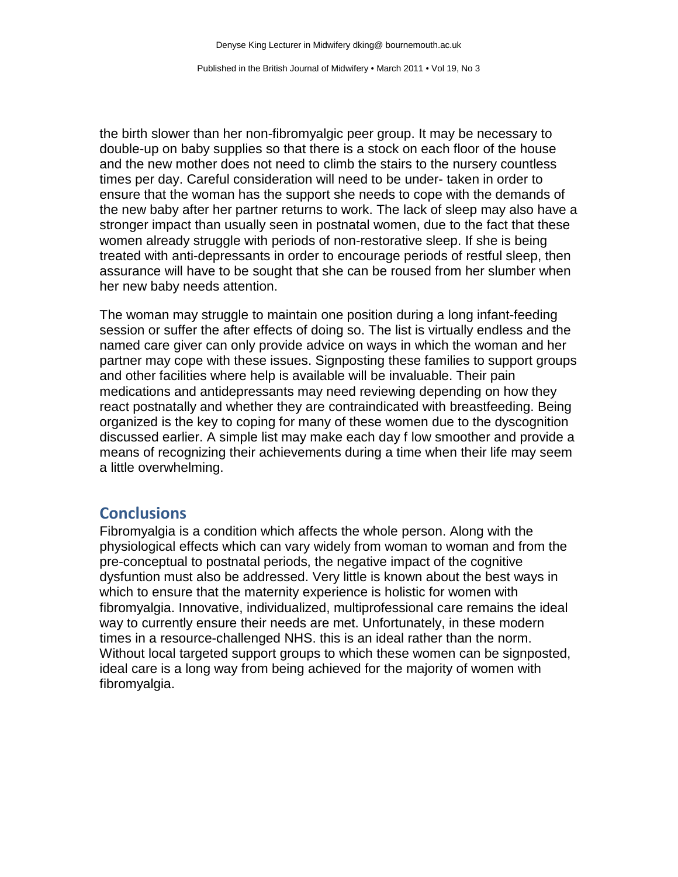the birth slower than her non-fibromyalgic peer group. It may be necessary to double-up on baby supplies so that there is a stock on each floor of the house and the new mother does not need to climb the stairs to the nursery countless times per day. Careful consideration will need to be under- taken in order to ensure that the woman has the support she needs to cope with the demands of the new baby after her partner returns to work. The lack of sleep may also have a stronger impact than usually seen in postnatal women, due to the fact that these women already struggle with periods of non-restorative sleep. If she is being treated with anti-depressants in order to encourage periods of restful sleep, then assurance will have to be sought that she can be roused from her slumber when her new baby needs attention.

The woman may struggle to maintain one position during a long infant-feeding session or suffer the after effects of doing so. The list is virtually endless and the named care giver can only provide advice on ways in which the woman and her partner may cope with these issues. Signposting these families to support groups and other facilities where help is available will be invaluable. Their pain medications and antidepressants may need reviewing depending on how they react postnatally and whether they are contraindicated with breastfeeding. Being organized is the key to coping for many of these women due to the dyscognition discussed earlier. A simple list may make each day f low smoother and provide a means of recognizing their achievements during a time when their life may seem a little overwhelming.

## **Conclusions**

Fibromyalgia is a condition which affects the whole person. Along with the physiological effects which can vary widely from woman to woman and from the pre-conceptual to postnatal periods, the negative impact of the cognitive dysfuntion must also be addressed. Very little is known about the best ways in which to ensure that the maternity experience is holistic for women with fibromyalgia. Innovative, individualized, multiprofessional care remains the ideal way to currently ensure their needs are met. Unfortunately, in these modern times in a resource-challenged NHS. this is an ideal rather than the norm. Without local targeted support groups to which these women can be signposted, ideal care is a long way from being achieved for the majority of women with fibromyalgia.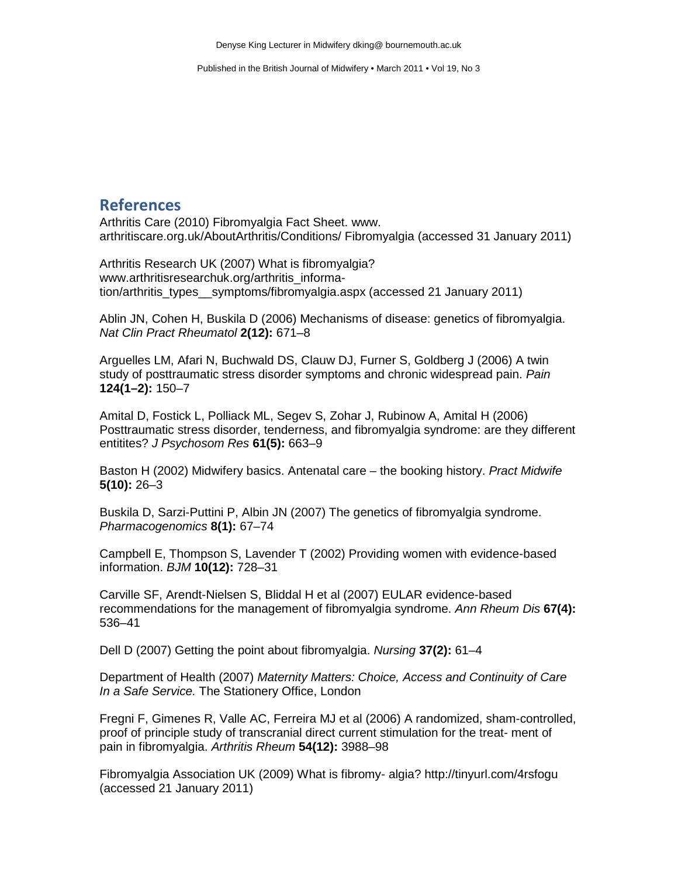#### **References**

Arthritis Care (2010) Fibromyalgia Fact Sheet. www. arthritiscare.org.uk/AboutArthritis/Conditions/ Fibromyalgia (accessed 31 January 2011)

Arthritis Research UK (2007) What is fibromyalgia? www.arthritisresearchuk.org/arthritis\_information/arthritis\_types\_\_symptoms/fibromyalgia.aspx (accessed 21 January 2011)

Ablin JN, Cohen H, Buskila D (2006) Mechanisms of disease: genetics of fibromyalgia. *Nat Clin Pract Rheumatol* **2(12):** 671–8

Arguelles LM, Afari N, Buchwald DS, Clauw DJ, Furner S, Goldberg J (2006) A twin study of posttraumatic stress disorder symptoms and chronic widespread pain. *Pain*  **124(1–2):** 150–7

Amital D, Fostick L, Polliack ML, Segev S, Zohar J, Rubinow A, Amital H (2006) Posttraumatic stress disorder, tenderness, and fibromyalgia syndrome: are they different entitites? *J Psychosom Res* **61(5):** 663–9

Baston H (2002) Midwifery basics. Antenatal care – the booking history. *Pract Midwife*  **5(10):** 26–3

Buskila D, Sarzi-Puttini P, Albin JN (2007) The genetics of fibromyalgia syndrome. *Pharmacogenomics* **8(1):** 67–74

Campbell E, Thompson S, Lavender T (2002) Providing women with evidence-based information. *BJM* **10(12):** 728–31

Carville SF, Arendt-Nielsen S, Bliddal H et al (2007) EULAR evidence-based recommendations for the management of fibromyalgia syndrome. *Ann Rheum Dis* **67(4):**  536–41

Dell D (2007) Getting the point about fibromyalgia. *Nursing* **37(2):** 61–4

Department of Health (2007) *Maternity Matters: Choice, Access and Continuity of Care In a Safe Service.* The Stationery Office, London

Fregni F, Gimenes R, Valle AC, Ferreira MJ et al (2006) A randomized, sham-controlled, proof of principle study of transcranial direct current stimulation for the treat- ment of pain in fibromyalgia. *Arthritis Rheum* **54(12):** 3988–98

Fibromyalgia Association UK (2009) What is fibromy- algia? http://tinyurl.com/4rsfogu (accessed 21 January 2011)